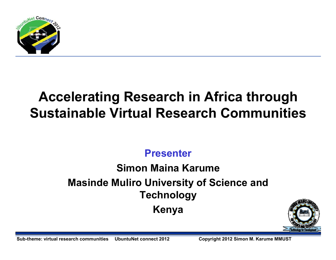

# **Accelerating Research in Africa through Sustainable Virtual Research Communities**

## **Presenter**

# **Simon Maina KarumeMasinde Muliro University of Science and TechnologyKenya**



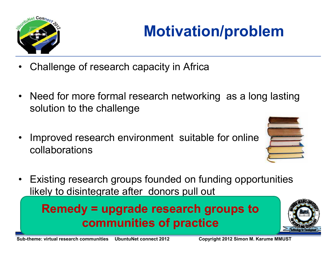

# **Motivation/problem**

- •Challenge of research capacity in Africa
- $\bullet$  Need for more formal research networking as a long lasting solution to the challenge
- • Improved research environment suitable for online collaborations



• Existing research groups founded on funding opportunities likely to disintegrate after donors pull out

**Remedy = upgrade research groups to communities of practice**

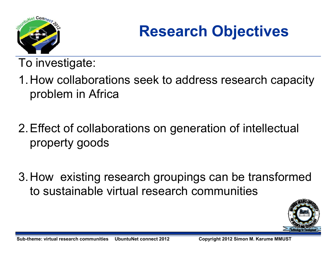

# **Research Objectives**

To investigate:

- 1.How collaborations seek to address research capacity problem in Africa
- 2.Effect of collaborations on generation of intellectual property goods
- 3.How existing research groupings can be transformed to sustainable virtual research communities

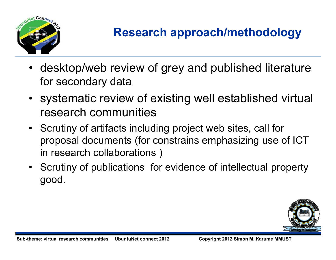

# **Research approach/methodology**

- • desktop/web review of grey and published literature for secondary data
- systematic review of existing well established virtual research communities
- Scrutiny of artifacts including project web sites, call for proposal documents (for constrains emphasizing use of ICT in research collaborations )
- Scrutiny of publications for evidence of intellectual property good.

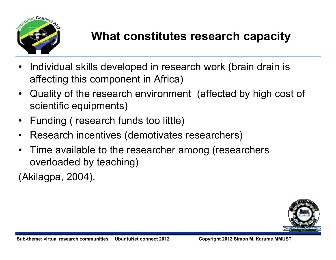

# **What constitutes research capacity**

- • Individual skills developed in research work (brain drain is affecting this component in Africa)
- $\bullet$  Quality of the research environment (affected by high cost of scientific equipments)
- $\bullet$ Funding ( research funds too little)
- •Research incentives (demotivates researchers)
- • Time available to the researcher among (researchers overloaded by teaching)

(Akilagpa, 2004).

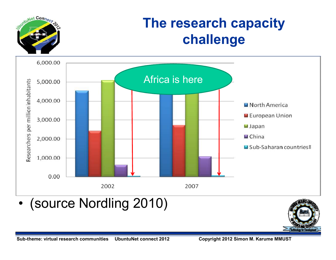

# **The research capacity challenge**



•(source Nordling 2010)

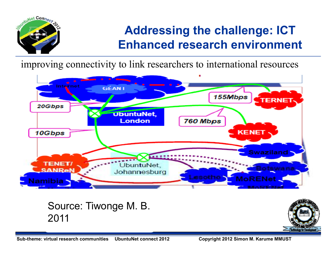

# **Addressing the challenge: ICT Enhanced research environment**

improving connectivity to link researchers to international resources



#### Source: Tiwonge M. B. 2011



**Sub-theme: virtual research communities UbuntuNet connect 2012 Copyright 2012 Simon M. Karume MMUST**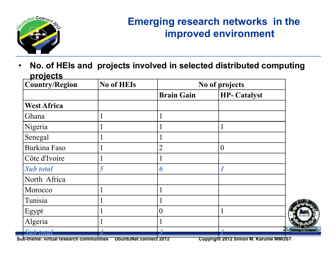

### **Emerging research networks in the improved environment**

• **No. of HEIs and projects involved in selected distributed computing projects**

| - -<br><b>Country/Region</b> | <b>No of HEIs</b> | No of projects    |                     |  |
|------------------------------|-------------------|-------------------|---------------------|--|
|                              |                   | <b>Brain Gain</b> | <b>HP- Catalyst</b> |  |
| <b>West Africa</b>           |                   |                   |                     |  |
| Ghana                        |                   |                   |                     |  |
| Nigeria                      |                   |                   |                     |  |
| Senegal                      |                   |                   |                     |  |
| <b>Burkina Faso</b>          |                   | $\overline{2}$    | $\theta$            |  |
| Côte d'Ivoire                |                   |                   |                     |  |
| <b>Sub</b> total             | 5                 | 6                 |                     |  |
| North Africa                 |                   |                   |                     |  |
| Morocco                      |                   |                   |                     |  |
| Tunisia                      |                   |                   |                     |  |
| Egypt                        |                   | $\overline{0}$    |                     |  |
| Algeria                      |                   |                   |                     |  |
| <b>Sub</b> total             |                   |                   |                     |  |

**Sub-themetic Connect 2012 Copyright 2012 Simon M. Karume MMUST**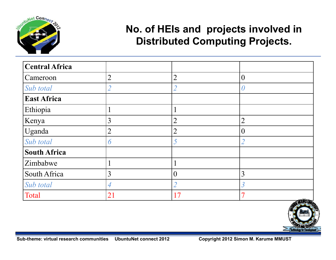

### **No. of HEIs and projects involved in Distributed Computing Projects.**

| Central Africa      |                          |                |                          |                |
|---------------------|--------------------------|----------------|--------------------------|----------------|
| Cameroon            | $\overline{2}$           | $\overline{2}$ | $\overline{0}$           |                |
| Sub total           | $\overline{\mathcal{L}}$ |                | 0                        |                |
| <b>East Africa</b>  |                          |                |                          |                |
| Ethiopia            |                          |                |                          |                |
| Kenya               | 3                        | $\overline{2}$ | $\overline{2}$           |                |
| Uganda              | $\overline{2}$           | $\overline{2}$ | $\overline{0}$           |                |
| Sub total           | 6                        |                | $\mathcal{D}$            |                |
| <b>South Africa</b> |                          |                |                          |                |
| Zimbabwe            |                          |                |                          |                |
| South Africa        | 3                        | $\theta$       | 3                        |                |
| Sub total           | 4                        |                | $\overline{\mathcal{S}}$ |                |
| Total               | 21                       | 17             | 7                        | <b>ZALEDUM</b> |

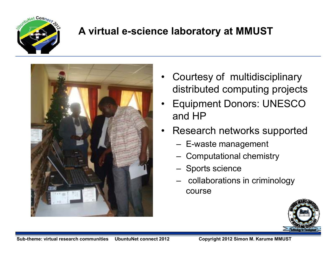

#### **A virtual e-science laboratory at MMUST**



- • Courtesy of multidisciplinary distributed computing projects
- • Equipment Donors: UNESCO and HP
- • Research networks supported
	- E-waste management
	- Computational chemistry
	- Sports science
	- collaborations in criminology course

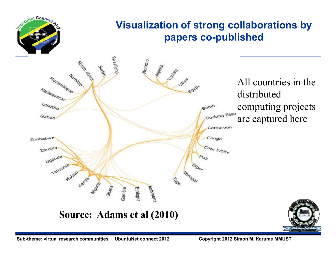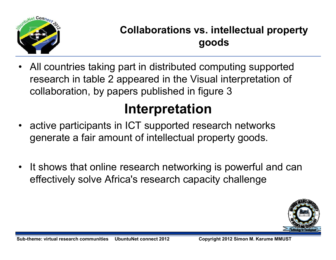

# **Collaborations vs. intellectual property goods**

• All countries taking part in distributed computing supported research in table 2 appeared in the Visual interpretation of collaboration, by papers published in figure 3

# **Interpretation**

- active participants in ICT supported research networks •generate a fair amount of intellectual property goods.
- • It shows that online research networking is powerful and can effectively solve Africa's research capacity challenge

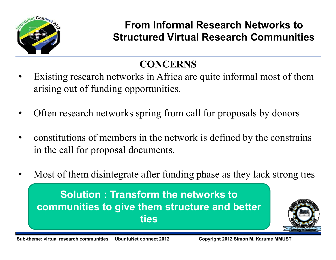

### **From Informal Research Networks to Structured Virtual Research Communities**

# **CONCERNS**

- Existing research networks in Africa are quite informal most of them •arising out of funding opportunities.
- •Often research networks spring from call for proposals by donors
- • constitutions of members in the network is defined by the constrains in the call for proposal documents.
- •Most of them disintegrate after funding phase as they lack strong ties

**Solution : Transform the networks to communities to give them structure and better ties**

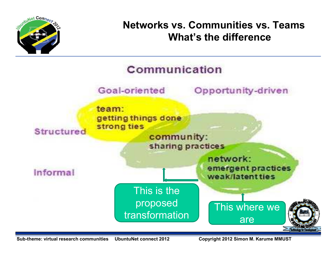

#### **Networks vs. Communities vs. TeamsWhat's the difference**

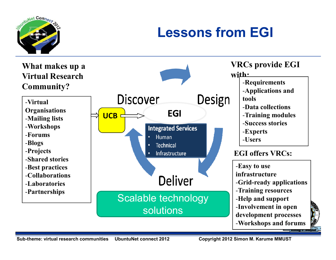

# **Lessons from EGI**

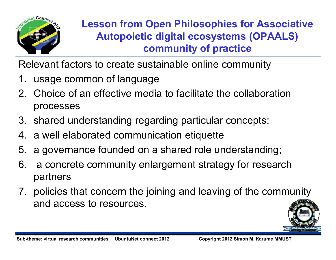

## **Lesson from Open Philosophies for Associative Autopoietic digital ecosystems (OPAALS) community of practice**

Relevant factors to create sustainable online community

- 1. usage common of language
- 2. Choice of an effective media to facilitate the collaboration processes
- 3. shared understanding regarding particular concepts;
- 4. a well elaborated communication etiquette
- 5. a governance founded on a shared role understanding;
- 6. a concrete community enlargement strategy for research partners
- 7. policies that concern the joining and leaving of the community and access to resources.

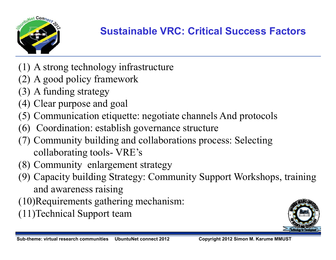

## **Sustainable VRC: Critical Success Factors**

- (1) A strong technology infrastructure
- (2) A good policy framework
- (3) A funding strategy
- (4) Clear purpose and goal
- (5) Communication etiquette: negotiate channels And protocols
- (6) Coordination: establish governance structure
- (7) Community building and collaborations process: Selecting collaborating tools- VRE's
- (8) Community enlargement strategy
- (9) Capacity building Strategy: Community Support Workshops, training and awareness raising
- (10)Requirements gathering mechanism:
- (11)Technical Support team

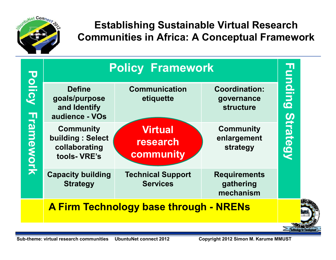

#### **Establishing Sustainable Virtual Research Communities in Africa: A Conceptual Framework**